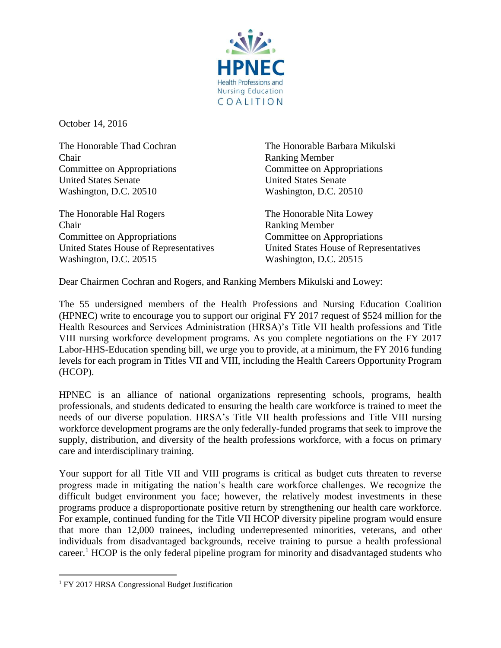

October 14, 2016

Chair Ranking Member Committee on Appropriations Committee on Appropriations United States Senate United States Senate Washington, D.C. 20510 Washington, D.C. 20510

The Honorable Hal Rogers The Honorable Nita Lowey Chair Ranking Member Committee on Appropriations Committee on Appropriations United States House of Representatives United States House of Representatives Washington, D.C. 20515 Washington, D.C. 20515

The Honorable Thad Cochran The Honorable Barbara Mikulski

Dear Chairmen Cochran and Rogers, and Ranking Members Mikulski and Lowey:

The 55 undersigned members of the Health Professions and Nursing Education Coalition (HPNEC) write to encourage you to support our original FY 2017 request of \$524 million for the Health Resources and Services Administration (HRSA)'s Title VII health professions and Title VIII nursing workforce development programs. As you complete negotiations on the FY 2017 Labor-HHS-Education spending bill, we urge you to provide, at a minimum, the FY 2016 funding levels for each program in Titles VII and VIII, including the Health Careers Opportunity Program (HCOP).

HPNEC is an alliance of national organizations representing schools, programs, health professionals, and students dedicated to ensuring the health care workforce is trained to meet the needs of our diverse population. HRSA's Title VII health professions and Title VIII nursing workforce development programs are the only federally-funded programs that seek to improve the supply, distribution, and diversity of the health professions workforce, with a focus on primary care and interdisciplinary training.

Your support for all Title VII and VIII programs is critical as budget cuts threaten to reverse progress made in mitigating the nation's health care workforce challenges. We recognize the difficult budget environment you face; however, the relatively modest investments in these programs produce a disproportionate positive return by strengthening our health care workforce. For example, continued funding for the Title VII HCOP diversity pipeline program would ensure that more than 12,000 trainees, including underrepresented minorities, veterans, and other individuals from disadvantaged backgrounds, receive training to pursue a health professional career.<sup>1</sup> HCOP is the only federal pipeline program for minority and disadvantaged students who

 $\overline{a}$ 

<sup>&</sup>lt;sup>1</sup> FY 2017 HRSA Congressional Budget Justification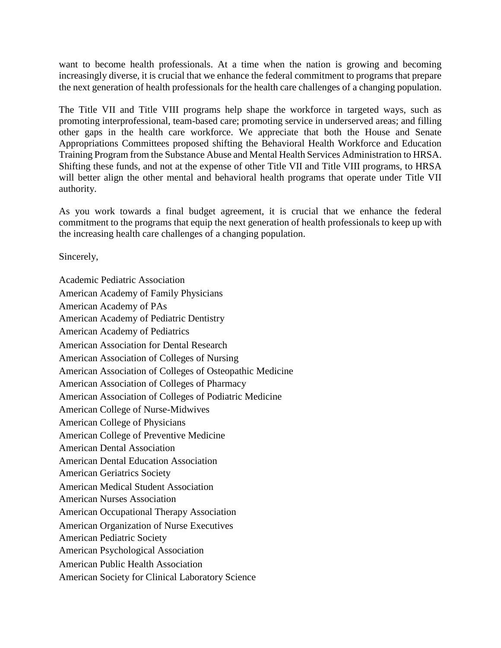want to become health professionals. At a time when the nation is growing and becoming increasingly diverse, it is crucial that we enhance the federal commitment to programs that prepare the next generation of health professionals for the health care challenges of a changing population.

The Title VII and Title VIII programs help shape the workforce in targeted ways, such as promoting interprofessional, team-based care; promoting service in underserved areas; and filling other gaps in the health care workforce. We appreciate that both the House and Senate Appropriations Committees proposed shifting the Behavioral Health Workforce and Education Training Program from the Substance Abuse and Mental Health Services Administration to HRSA. Shifting these funds, and not at the expense of other Title VII and Title VIII programs, to HRSA will better align the other mental and behavioral health programs that operate under Title VII authority.

As you work towards a final budget agreement, it is crucial that we enhance the federal commitment to the programs that equip the next generation of health professionals to keep up with the increasing health care challenges of a changing population.

Sincerely,

Academic Pediatric Association American Academy of Family Physicians American Academy of PAs American Academy of Pediatric Dentistry American Academy of Pediatrics American Association for Dental Research American Association of Colleges of Nursing American Association of Colleges of Osteopathic Medicine American Association of Colleges of Pharmacy American Association of Colleges of Podiatric Medicine American College of Nurse-Midwives American College of Physicians American College of Preventive Medicine American Dental Association American Dental Education Association American Geriatrics Society American Medical Student Association American Nurses Association American Occupational Therapy Association American Organization of Nurse Executives American Pediatric Society American Psychological Association American Public Health Association American Society for Clinical Laboratory Science